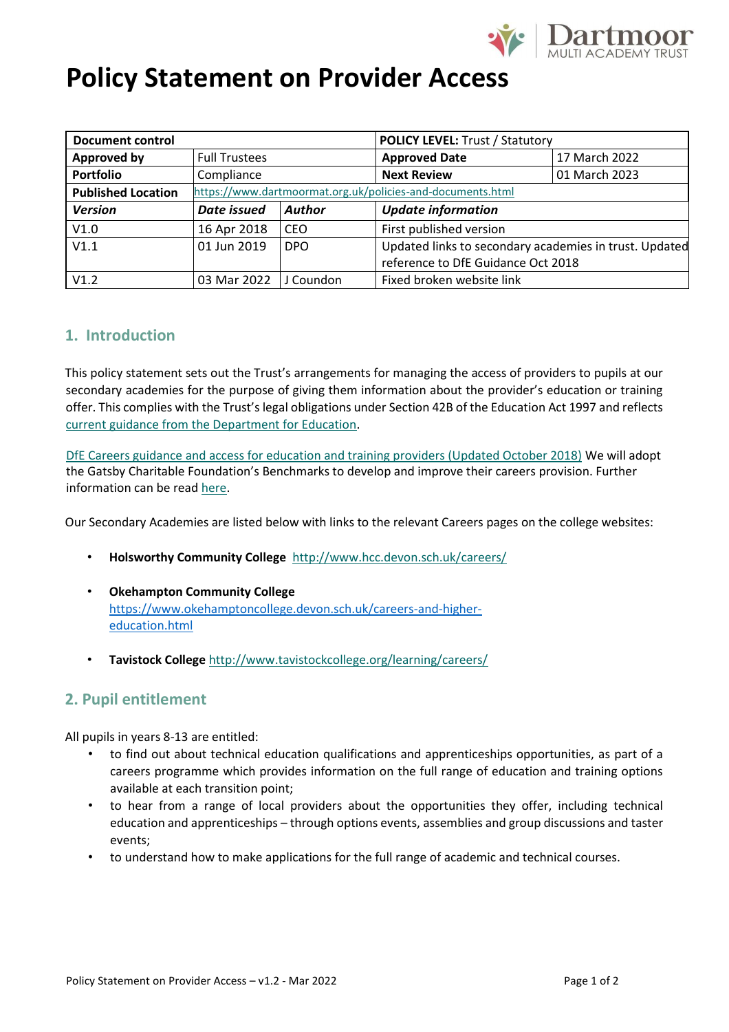

# **Policy Statement on Provider Access**

| <b>Document control</b>   |                                                            |               | <b>POLICY LEVEL: Trust / Statutory</b>                 |               |
|---------------------------|------------------------------------------------------------|---------------|--------------------------------------------------------|---------------|
| Approved by               | <b>Full Trustees</b>                                       |               | <b>Approved Date</b>                                   | 17 March 2022 |
| Portfolio                 | Compliance                                                 |               | <b>Next Review</b>                                     | 01 March 2023 |
| <b>Published Location</b> | https://www.dartmoormat.org.uk/policies-and-documents.html |               |                                                        |               |
| <b>Version</b>            | Date issued                                                | <b>Author</b> | <b>Update information</b>                              |               |
| V1.0                      | 16 Apr 2018                                                | CEO.          | First published version                                |               |
| V1.1                      | 01 Jun 2019                                                | <b>DPO</b>    | Updated links to secondary academies in trust. Updated |               |
|                           |                                                            |               | reference to DfE Guidance Oct 2018                     |               |
| V1.2                      | 03 Mar 2022                                                | J Coundon     | Fixed broken website link                              |               |

### **1. Introduction**

This policy statement sets out the Trust's arrangements for managing the access of providers to pupils at our secondary academies for the purpose of giving them information about the provider's education or training offer. This complies with the Trust's legal obligations under Section 42B of the Education Act 1997 and reflects [current guidance from the Department for Education.](https://www.gov.uk/government/publications/careers-guidance-provision-for-young-people-in-schools) 

[DfE Careers guidance and access for education and training providers \(Updated October 2018\)](https://www.gov.uk/government/publications/careers-guidance-provision-for-young-people-in-schools) [W](https://www.gov.uk/government/publications/careers-guidance-provision-for-young-people-in-schools)e will adopt the Gatsby Charitable Foundation's Benchmarks to develop and improve their careers provision. Further information can be read [here.](https://www.gatsby.org.uk/education/programmes/embedding-the-benchmarks-in-school-and-college-practice) 

Our Secondary Academies are listed below with links to the relevant Careers pages on the college websites:

- **Holsworthy Community College**<http://www.hcc.devon.sch.uk/careers/>
- **Okehampton Community College** [https://www.okehamptoncollege.devon.sch.uk/careers-and-higher](https://www.okehamptoncollege.devon.sch.uk/careers-and-higher-education.html)[education.html](https://www.okehamptoncollege.devon.sch.uk/careers-and-higher-education.html)
- **Tavistock College** <http://www.tavistockcollege.org/learning/careers/>

### **2. Pupil entitlement**

All pupils in years 8-13 are entitled:

- to find out about technical education qualifications and apprenticeships opportunities, as part of a careers programme which provides information on the full range of education and training options available at each transition point;
- to hear from a range of local providers about the opportunities they offer, including technical education and apprenticeships – through options events, assemblies and group discussions and taster events;
- to understand how to make applications for the full range of academic and technical courses.